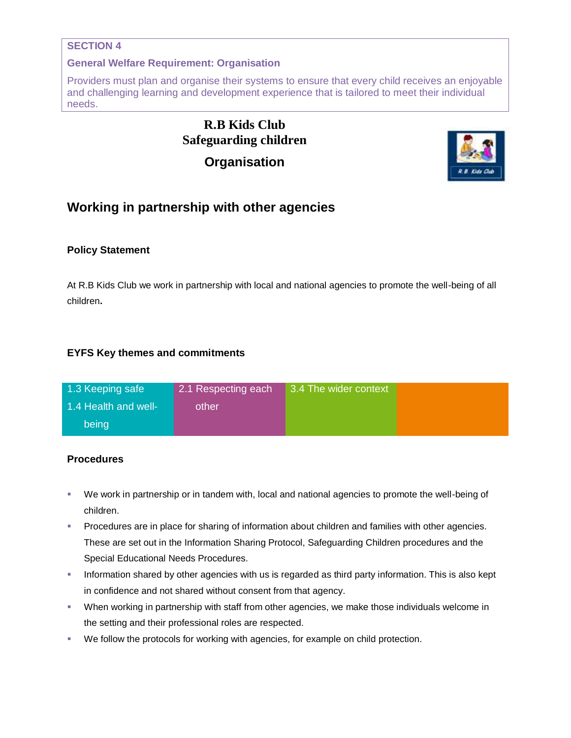### **SECTION 4**

#### **General Welfare Requirement: Organisation**

Providers must plan and organise their systems to ensure that every child receives an enjoyable and challenging learning and development experience that is tailored to meet their individual needs.

# **R.B Kids Club Safeguarding children Organisation**



## **Working in partnership with other agencies**

### **Policy Statement**

At R.B Kids Club we work in partnership with local and national agencies to promote the well-being of all children**.**

### **EYFS Key themes and commitments**

| 1.3 Keeping safe     | 2.1 Respecting each | 3.4 The wider context |  |
|----------------------|---------------------|-----------------------|--|
| 1.4 Health and well- | other               |                       |  |
| being                |                     |                       |  |

### **Procedures**

- We work in partnership or in tandem with, local and national agencies to promote the well-being of children.
- Procedures are in place for sharing of information about children and families with other agencies. These are set out in the Information Sharing Protocol, Safeguarding Children procedures and the Special Educational Needs Procedures.
- **Information shared by other agencies with us is regarded as third party information. This is also kept** in confidence and not shared without consent from that agency.
- When working in partnership with staff from other agencies, we make those individuals welcome in the setting and their professional roles are respected.
- We follow the protocols for working with agencies, for example on child protection.